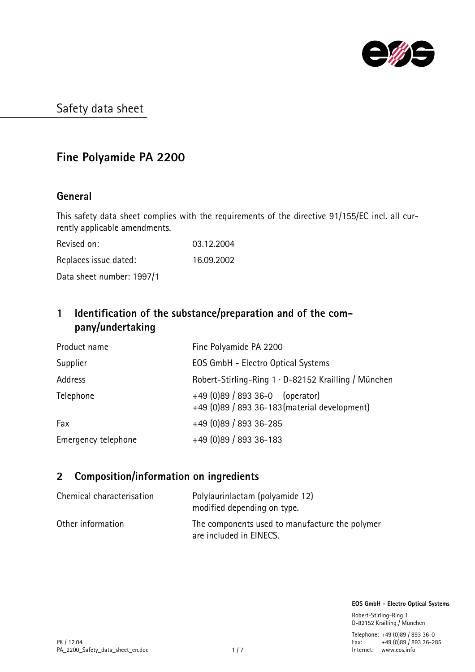

# Fine Polyamide PA 2200

### General

This safety data sheet complies with the requirements of the directive 91/155/EC incl. all currently applicable amendments.

| Revised on:               | 03.12.2004 |
|---------------------------|------------|
| Replaces issue dated:     | 16.09.2002 |
| Data sheet number: 1997/1 |            |

## 1 Identification of the substance/preparation and of the company/undertaking

| Product name        | Fine Polyamide PA 2200                                                             |
|---------------------|------------------------------------------------------------------------------------|
| Supplier            | EOS GmbH - Electro Optical Systems                                                 |
| Address             | Robert-Stirling-Ring 1 · D-82152 Krailling / München                               |
| Telephone           | $+49$ (0)89 / 893 36-0 (operator)<br>+49 (0)89 / 893 36-183 (material development) |
| Fax                 | +49 (0)89 / 893 36-285                                                             |
| Emergency telephone | +49 (0)89 / 893 36-183                                                             |

### 2 Composition/information on ingredients

| Chemical characterisation | Polylaurinlactam (polyamide 12)<br>modified depending on type.            |
|---------------------------|---------------------------------------------------------------------------|
| Other information         | The components used to manufacture the polymer<br>are included in EINECS. |

EOS GmbH - Electro Optical Systems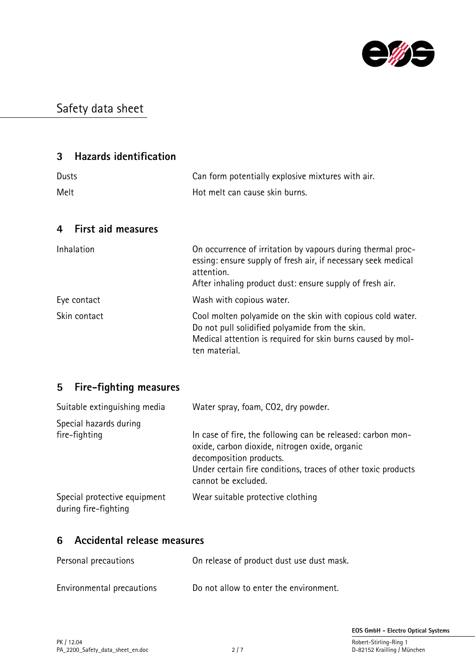

### 3 Hazards identification

| Dusts | Can form potentially explosive mixtures with air. |
|-------|---------------------------------------------------|
| Melt  | Hot melt can cause skin burns.                    |

### 4 First aid measures

| Inhalation   | On occurrence of irritation by vapours during thermal proc-<br>essing: ensure supply of fresh air, if necessary seek medical<br>attention.<br>After inhaling product dust: ensure supply of fresh air. |
|--------------|--------------------------------------------------------------------------------------------------------------------------------------------------------------------------------------------------------|
| Eye contact  | Wash with copious water.                                                                                                                                                                               |
| Skin contact | Cool molten polyamide on the skin with copious cold water.<br>Do not pull solidified polyamide from the skin.<br>Medical attention is required for skin burns caused by mol-<br>ten material.          |

### 5 Fire-fighting measures

| Suitable extinguishing media                         | Water spray, foam, CO2, dry powder.                                                  |
|------------------------------------------------------|--------------------------------------------------------------------------------------|
| Special hazards during<br>fire-fighting              | In case of fire, the following can be released: carbon mon-                          |
|                                                      | oxide, carbon dioxide, nitrogen oxide, organic<br>decomposition products.            |
|                                                      | Under certain fire conditions, traces of other toxic products<br>cannot be excluded. |
| Special protective equipment<br>during fire-fighting | Wear suitable protective clothing                                                    |

# 6 Accidental release measures

| Personal precautions      | On release of product dust use dust mask. |
|---------------------------|-------------------------------------------|
| Environmental precautions | Do not allow to enter the environment.    |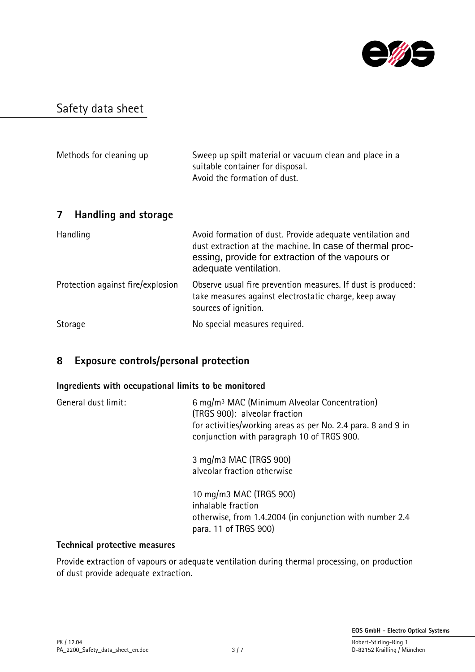

| Methods for cleaning up           | Sweep up spilt material or vacuum clean and place in a<br>suitable container for disposal.<br>Avoid the formation of dust.                                                                         |
|-----------------------------------|----------------------------------------------------------------------------------------------------------------------------------------------------------------------------------------------------|
| Handling and storage<br>7         |                                                                                                                                                                                                    |
| Handling                          | Avoid formation of dust. Provide adequate ventilation and<br>dust extraction at the machine. In case of thermal proc-<br>essing, provide for extraction of the vapours or<br>adequate ventilation. |
| Protection against fire/explosion | Observe usual fire prevention measures. If dust is produced:<br>take measures against electrostatic charge, keep away<br>sources of ignition.                                                      |
| Storage                           | No special measures required.                                                                                                                                                                      |

### 8 Exposure controls/personal protection

#### Ingredients with occupational limits to be monitored

| 6 mg/m <sup>3</sup> MAC (Minimum Alveolar Concentration)<br>(TRGS 900): alveolar fraction<br>for activities/working areas as per No. 2.4 para. 8 and 9 in<br>conjunction with paragraph 10 of TRGS 900. |
|---------------------------------------------------------------------------------------------------------------------------------------------------------------------------------------------------------|
| 3 mg/m3 MAC (TRGS 900)<br>alveolar fraction otherwise                                                                                                                                                   |
| 10 mg/m3 MAC (TRGS 900)<br>inhalable fraction<br>otherwise, from 1.4.2004 (in conjunction with number 2.4<br>para. 11 of TRGS 900)                                                                      |
|                                                                                                                                                                                                         |

#### Technical protective measures

Provide extraction of vapours or adequate ventilation during thermal processing, on production of dust provide adequate extraction.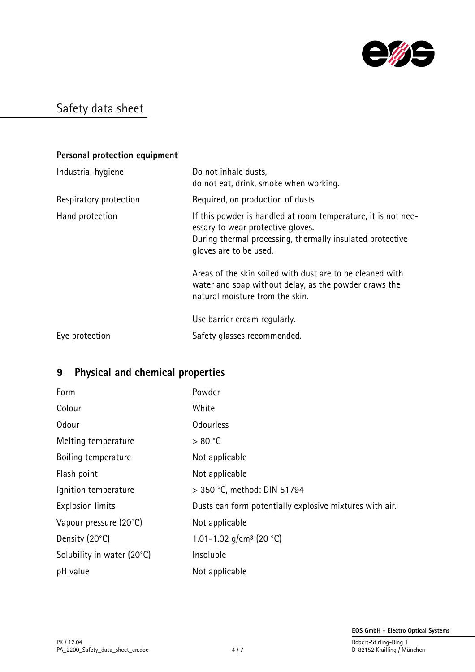

### Personal protection equipment

| Industrial hygiene     | Do not inhale dusts,<br>do not eat, drink, smoke when working.                                                                                                                            |
|------------------------|-------------------------------------------------------------------------------------------------------------------------------------------------------------------------------------------|
| Respiratory protection | Required, on production of dusts                                                                                                                                                          |
| Hand protection        | If this powder is handled at room temperature, it is not nec-<br>essary to wear protective gloves.<br>During thermal processing, thermally insulated protective<br>gloves are to be used. |
|                        | Areas of the skin soiled with dust are to be cleaned with<br>water and soap without delay, as the powder draws the<br>natural moisture from the skin.                                     |
|                        | Use barrier cream regularly.                                                                                                                                                              |
| Eye protection         | Safety glasses recommended.                                                                                                                                                               |

# 9 Physical and chemical properties

| Form                       | Powder                                                  |
|----------------------------|---------------------------------------------------------|
| Colour                     | White                                                   |
| Odour                      | <b>Odourless</b>                                        |
| Melting temperature        | > 80 °C                                                 |
| Boiling temperature        | Not applicable                                          |
| Flash point                | Not applicable                                          |
| Ignition temperature       | > 350 °C, method: DIN 51794                             |
| <b>Explosion limits</b>    | Dusts can form potentially explosive mixtures with air. |
| Vapour pressure (20°C)     | Not applicable                                          |
| Density (20°C)             | 1.01-1.02 $q/cm^3$ (20 °C)                              |
| Solubility in water (20°C) | Insoluble                                               |
| pH value                   | Not applicable                                          |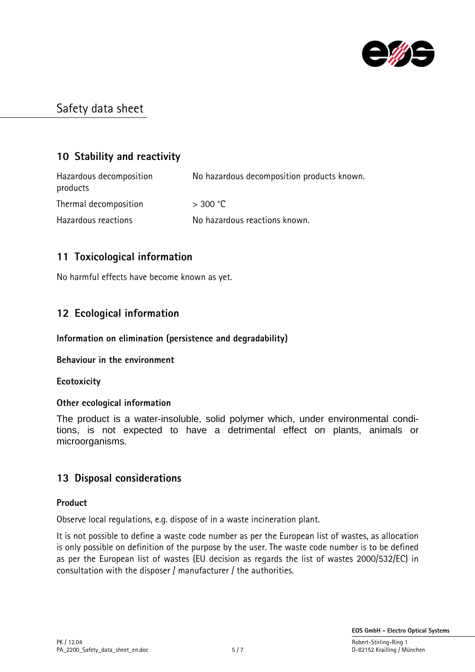

### 10 Stability and reactivity

Hazardous decomposition No hazardous decomposition products known. products Thermal decomposition  $>$  300 °C Hazardous reactions No hazardous reactions known.

### 11 Toxicological information

No harmful effects have become known as yet.

### 12 Ecological information

#### Information on elimination (persistence and degradability)

#### Behaviour in the environment

**Ecotoxicity** 

#### Other ecological information

The product is a water-insoluble, solid polymer which, under environmental conditions, is not expected to have a detrimental effect on plants, animals or microorganisms.

### 13 Disposal considerations

#### Product

Observe local regulations, e.g. dispose of in a waste incineration plant.

It is not possible to define a waste code number as per the European list of wastes, as allocation is only possible on definition of the purpose by the user. The waste code number is to be defined as per the European list of wastes (EU decision as regards the list of wastes 2000/532/EC) in consultation with the disposer / manufacturer / the authorities.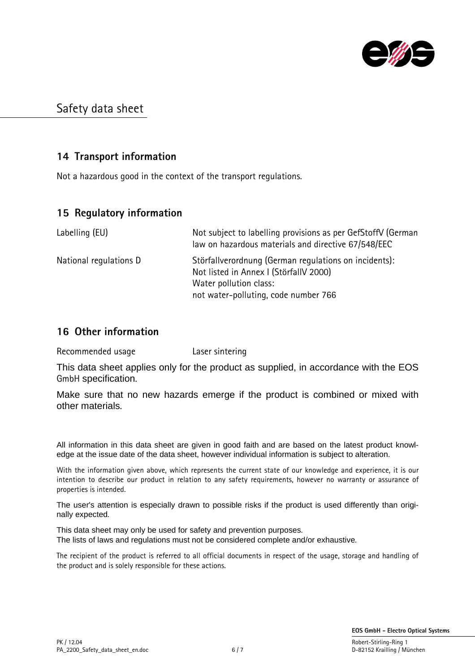

### 14 Transport information

Not a hazardous good in the context of the transport regulations.

### 15 Regulatory information

| Labelling (EU)         | Not subject to labelling provisions as per GefStoffV (German<br>law on hazardous materials and directive 67/548/EEC                                               |
|------------------------|-------------------------------------------------------------------------------------------------------------------------------------------------------------------|
| National regulations D | Störfallverordnung (German regulations on incidents):<br>Not listed in Annex I (StörfallV 2000)<br>Water pollution class:<br>not water-polluting, code number 766 |

### 16 Other information

Recommended usage **Laser sintering** 

This data sheet applies only for the product as supplied, in accordance with the EOS GmbH specification.

Make sure that no new hazards emerge if the product is combined or mixed with other materials.

All information in this data sheet are given in good faith and are based on the latest product knowledge at the issue date of the data sheet, however individual information is subject to alteration.

With the information given above, which represents the current state of our knowledge and experience, it is our intention to describe our product in relation to any safety requirements, however no warranty or assurance of properties is intended.

The user's attention is especially drawn to possible risks if the product is used differently than originally expected.

This data sheet may only be used for safety and prevention purposes. The lists of laws and regulations must not be considered complete and/or exhaustive.

The recipient of the product is referred to all official documents in respect of the usage, storage and handling of the product and is solely responsible for these actions.